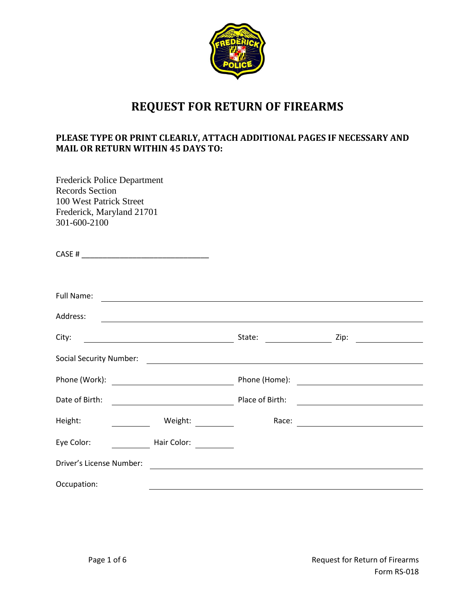

## **REQUEST FOR RETURN OF FIREARMS**

## **PLEASE TYPE OR PRINT CLEARLY, ATTACH ADDITIONAL PAGES IF NECESSARY AND MAIL OR RETURN WITHIN 45 DAYS TO:**

Frederick Police Department Records Section 100 West Patrick Street Frederick, Maryland 21701 301-600-2100

| <b>Full Name:</b>        | <u> 1989 - Johann Barnett, fransk politik (d. 1989)</u> |                 |                                                                                                                               |
|--------------------------|---------------------------------------------------------|-----------------|-------------------------------------------------------------------------------------------------------------------------------|
| Address:                 |                                                         |                 |                                                                                                                               |
| City:                    | State:                                                  |                 | Zip:<br><u> 1989 - Jan Barat, prima prima prima prima prima prima prima prima prima prima prima prima prima prima prima p</u> |
|                          |                                                         |                 |                                                                                                                               |
|                          |                                                         |                 | Phone (Home): <u>_____________________________</u>                                                                            |
| Date of Birth:           | <u> 1980 - Johann Barbara, martin d</u>                 | Place of Birth: | <u> 1989 - Andrea Station Books, amerikansk politik (d. 1989)</u>                                                             |
| Height:                  | Weight:                                                 | Race:           | <u> 1989 - Andrea Andrew Maria (b. 1989)</u>                                                                                  |
| Eye Color:               | Hair Color:                                             |                 |                                                                                                                               |
| Driver's License Number: |                                                         |                 |                                                                                                                               |
| Occupation:              |                                                         |                 |                                                                                                                               |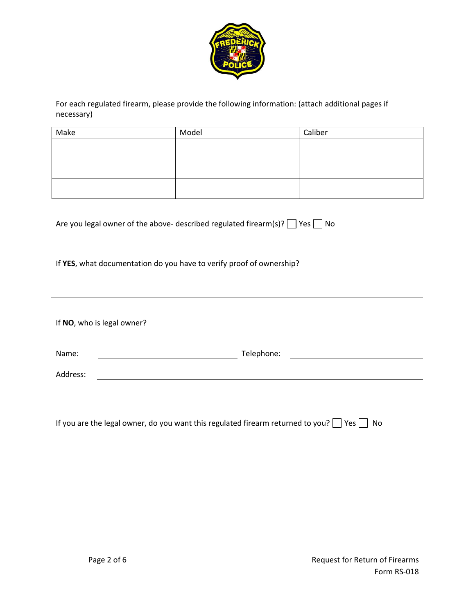

For each regulated firearm, please provide the following information: (attach additional pages if necessary)

| Make | Model | Caliber |
|------|-------|---------|
|      |       |         |
|      |       |         |
|      |       |         |
|      |       |         |
|      |       |         |
|      |       |         |

| Are you legal owner of the above- described regulated firearm(s)? $\Box$ Yes $\Box$ No |  |  |
|----------------------------------------------------------------------------------------|--|--|
|----------------------------------------------------------------------------------------|--|--|

If **YES**, what documentation do you have to verify proof of ownership?

If **NO**, who is legal owner?

| Name:    | Telephone: |  |
|----------|------------|--|
| Address: |            |  |

If you are the legal owner, do you want this regulated firearm returned to you?  $\Box$  Yes  $\Box$  No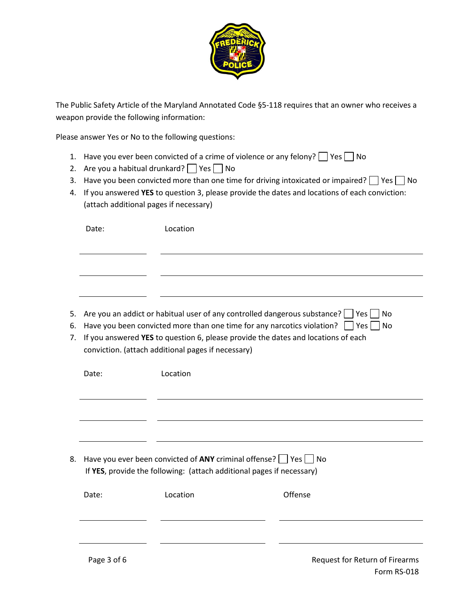

The Public Safety Article of the Maryland Annotated Code §5-118 requires that an owner who receives a weapon provide the following information:

Please answer Yes or No to the following questions:

- 1. Have you ever been convicted of a crime of violence or any felony?  $\Box$  Yes  $\Box$  No
- 2. Are you a habitual drunkard?  $\Box$  Yes  $\Box$  No
- 3. Have you been convicted more than one time for driving intoxicated or impaired?  $\Box$  Yes  $\Box$  No
- 4. If you answered **YES** to question 3, please provide the dates and locations of each conviction: (attach additional pages if necessary)

|                                                                                                                                                                                                                                                                                                                                                         | Date: | Location                                                           |  |  |
|---------------------------------------------------------------------------------------------------------------------------------------------------------------------------------------------------------------------------------------------------------------------------------------------------------------------------------------------------------|-------|--------------------------------------------------------------------|--|--|
|                                                                                                                                                                                                                                                                                                                                                         |       |                                                                    |  |  |
|                                                                                                                                                                                                                                                                                                                                                         |       | No                                                                 |  |  |
| Are you an addict or habitual user of any controlled dangerous substance? $\vert \vert$ Yes<br>5.<br>Have you been convicted more than one time for any narcotics violation?<br>$ $   Yes     No<br>6.<br>If you answered YES to question 6, please provide the dates and locations of each<br>7.<br>conviction. (attach additional pages if necessary) |       |                                                                    |  |  |
|                                                                                                                                                                                                                                                                                                                                                         | Date: | Location                                                           |  |  |
|                                                                                                                                                                                                                                                                                                                                                         |       |                                                                    |  |  |
|                                                                                                                                                                                                                                                                                                                                                         |       |                                                                    |  |  |
| 8.                                                                                                                                                                                                                                                                                                                                                      |       | Have you ever been convicted of ANY criminal offense?<br>Yes<br>No |  |  |

| Date:       | Location | Offense                        |
|-------------|----------|--------------------------------|
|             |          |                                |
| Page 3 of 6 |          | Request for Return of Firearms |

If **YES**, provide the following: (attach additional pages if necessary)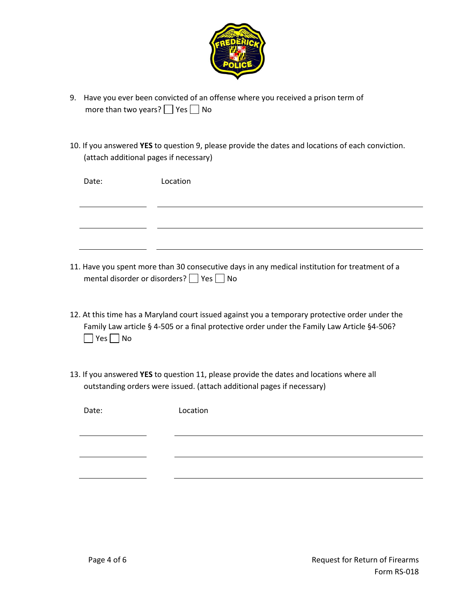

- 9. Have you ever been convicted of an offense where you received a prison term of more than two years?  $\Box$  Yes  $\Box$  No
- 10. If you answered **YES** to question 9, please provide the dates and locations of each conviction. (attach additional pages if necessary)

|       | Date:                | Location                                                                                                                                                                                       |
|-------|----------------------|------------------------------------------------------------------------------------------------------------------------------------------------------------------------------------------------|
|       |                      |                                                                                                                                                                                                |
|       |                      |                                                                                                                                                                                                |
|       |                      |                                                                                                                                                                                                |
|       |                      | 11. Have you spent more than 30 consecutive days in any medical institution for treatment of a<br>mental disorder or disorders? Pes No                                                         |
|       | $Yes \mid \text{No}$ | 12. At this time has a Maryland court issued against you a temporary protective order under the<br>Family Law article § 4-505 or a final protective order under the Family Law Article §4-506? |
|       |                      | 13. If you answered YES to question 11, please provide the dates and locations where all<br>outstanding orders were issued. (attach additional pages if necessary)                             |
| Date: |                      | Location                                                                                                                                                                                       |
|       |                      |                                                                                                                                                                                                |
|       |                      |                                                                                                                                                                                                |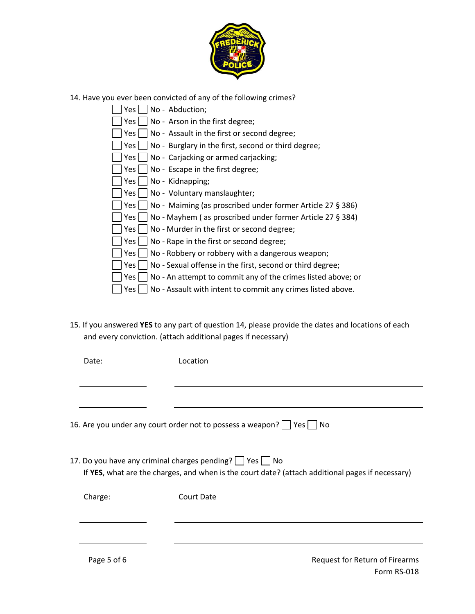

14. Have you ever been convicted of any of the following crimes?

| No - Abduction;<br>Yes l                                              |  |
|-----------------------------------------------------------------------|--|
| $Yes \mid \text{No - Arson in the first degree};$                     |  |
| Yes $\vert$ No - Assault in the first or second degree;               |  |
| No - Burglary in the first, second or third degree;<br>Yes l          |  |
| Yes     No - Carjacking or armed carjacking;                          |  |
|                                                                       |  |
| No - Kidnapping;<br>Yes l                                             |  |
| Yes   No - Voluntary manslaughter;                                    |  |
| Yes   No - Maiming (as proscribed under former Article 27 § 386)      |  |
| Yes     No - Mayhem (as proscribed under former Article 27 $\S$ 384)  |  |
| $Yes \mid \text{No}$ - Murder in the first or second degree;          |  |
| No - Rape in the first or second degree;<br>Yes l                     |  |
| No - Robbery or robbery with a dangerous weapon;<br>Yes l             |  |
| No - Sexual offense in the first, second or third degree;<br>Yes l    |  |
| No - An attempt to commit any of the crimes listed above; or<br>Yes l |  |
| No - Assault with intent to commit any crimes listed above.<br>Yes    |  |

15. If you answered **YES** to any part of question 14, please provide the dates and locations of each and every conviction. (attach additional pages if necessary)

| Date:       | Location                                                                                                                                                               |
|-------------|------------------------------------------------------------------------------------------------------------------------------------------------------------------------|
|             |                                                                                                                                                                        |
|             | 16. Are you under any court order not to possess a weapon?     Yes     No                                                                                              |
|             | 17. Do you have any criminal charges pending? $\Box$ Yes $\Box$ No<br>If YES, what are the charges, and when is the court date? (attach additional pages if necessary) |
| Charge:     | Court Date                                                                                                                                                             |
|             |                                                                                                                                                                        |
| Page 5 of 6 | Request for Return of Firearms<br>Form RS-018                                                                                                                          |